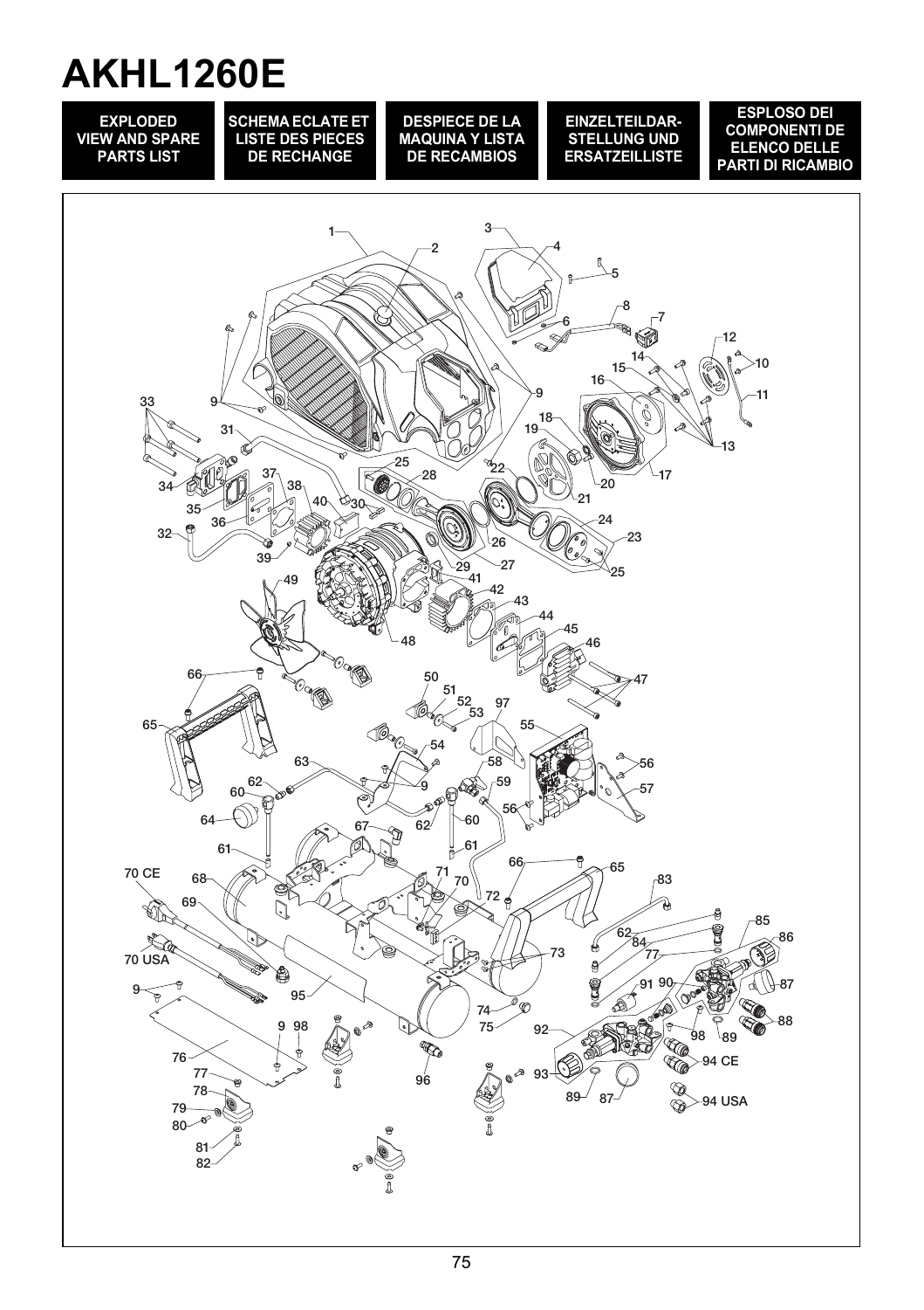## **AKHL1260E**

**EXPLODED VIEW AND SPARE PARTS LIST**

**SCHEMA ECLATE ET LISTE DES PIECES DE RECHANGE**

**DESPIECE DE LA MAQUINA Y LISTA DE RECAMBIOS**

**EINZELTEILDAR-STELLUNG UND ERSATZEILLISTE**

**ESPLOSO DEI COMPONENTI DE ELENCO DELLE PARTI DI RICAMBIO**

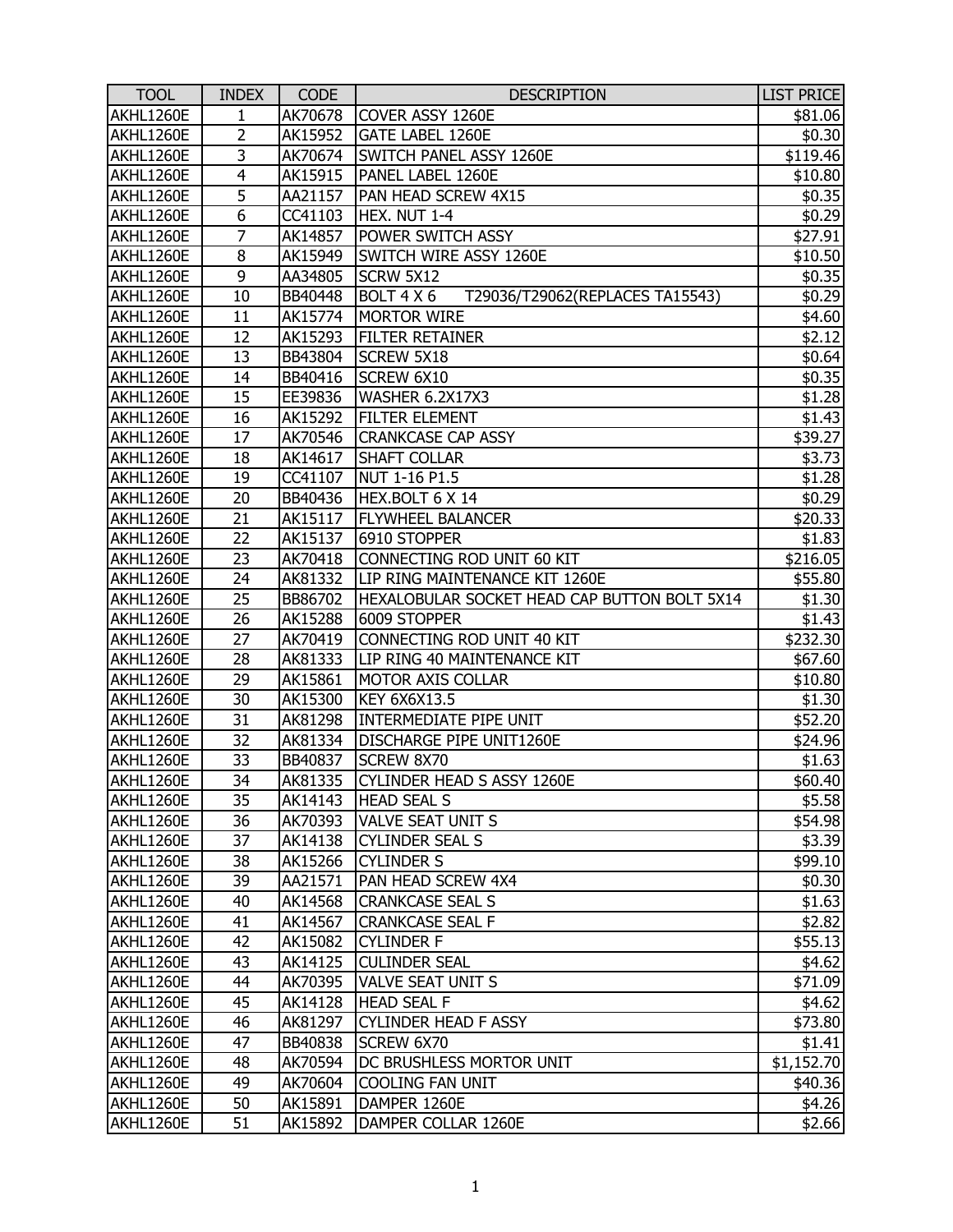| <b>TOOL</b> | <b>INDEX</b>   | <b>CODE</b> | <b>DESCRIPTION</b>                            | <b>LIST PRICE</b> |
|-------------|----------------|-------------|-----------------------------------------------|-------------------|
| AKHL1260E   | 1              | AK70678     | COVER ASSY 1260E                              | \$81.06           |
| AKHL1260E   | $\overline{2}$ | AK15952     | GATE LABEL 1260E                              | \$0.30            |
| AKHL1260E   | 3              | AK70674     | SWITCH PANEL ASSY 1260E                       | \$119.46          |
| AKHL1260E   | 4              | AK15915     | PANEL LABEL 1260E                             | \$10.80           |
| AKHL1260E   | 5              | AA21157     | PAN HEAD SCREW 4X15                           | \$0.35            |
| AKHL1260E   | 6              | CC41103     | HEX. NUT 1-4                                  | \$0.29            |
| AKHL1260E   | 7              | AK14857     | POWER SWITCH ASSY                             | \$27.91           |
| AKHL1260E   | 8              | AK15949     | SWITCH WIRE ASSY 1260E                        | \$10.50           |
| AKHL1260E   | 9              | AA34805     | SCRW 5X12                                     | \$0.35            |
| AKHL1260E   | 10             | BB40448     | BOLT 4 X 6<br>T29036/T29062(REPLACES TA15543) | \$0.29            |
| AKHL1260E   | 11             | AK15774     | <b>MORTOR WIRE</b>                            | \$4.60            |
| AKHL1260E   | 12             | AK15293     | <b>FILTER RETAINER</b>                        | \$2.12            |
| AKHL1260E   | 13             | BB43804     | <b>SCREW 5X18</b>                             | \$0.64            |
| AKHL1260E   | 14             | BB40416     | SCREW 6X10                                    | \$0.35            |
| AKHL1260E   | 15             | EE39836     | WASHER 6.2X17X3                               | \$1.28            |
| AKHL1260E   | 16             | AK15292     | <b>FILTER ELEMENT</b>                         | \$1.43            |
| AKHL1260E   | 17             | AK70546     | <b>CRANKCASE CAP ASSY</b>                     | \$39.27           |
| AKHL1260E   | 18             | AK14617     | <b>SHAFT COLLAR</b>                           | \$3.73            |
| AKHL1260E   | 19             | CC41107     | NUT 1-16 P1.5                                 | \$1.28            |
| AKHL1260E   | 20             | BB40436     | HEX.BOLT 6 X 14                               | \$0.29            |
| AKHL1260E   | 21             | AK15117     | <b>FLYWHEEL BALANCER</b>                      | \$20.33           |
| AKHL1260E   | 22             | AK15137     | 6910 STOPPER                                  | \$1.83            |
| AKHL1260E   | 23             | AK70418     | CONNECTING ROD UNIT 60 KIT                    | \$216.05          |
| AKHL1260E   | 24             | AK81332     | LIP RING MAINTENANCE KIT 1260E                | \$55.80           |
| AKHL1260E   | 25             | BB86702     | HEXALOBULAR SOCKET HEAD CAP BUTTON BOLT 5X14  | \$1.30            |
| AKHL1260E   | 26             | AK15288     | 6009 STOPPER                                  | \$1.43            |
| AKHL1260E   | 27             | AK70419     | CONNECTING ROD UNIT 40 KIT                    | \$232.30          |
| AKHL1260E   | 28             | AK81333     | LIP RING 40 MAINTENANCE KIT                   | \$67.60           |
| AKHL1260E   | 29             | AK15861     | <b>MOTOR AXIS COLLAR</b>                      | \$10.80           |
| AKHL1260E   | 30             | AK15300     | <b>KEY 6X6X13.5</b>                           | \$1.30            |
| AKHL1260E   | 31             | AK81298     | INTERMEDIATE PIPE UNIT                        | \$52.20           |
| AKHL1260E   | 32             | AK81334     | DISCHARGE PIPE UNIT1260E                      | \$24.96           |
| AKHL1260E   | 33             | BB40837     | SCREW 8X70                                    | \$1.63            |
| AKHL1260E   | 34             | AK81335     | CYLINDER HEAD S ASSY 1260E                    | \$60.40           |
| AKHL1260E   | 35             | AK14143     | <b>HEAD SEAL S</b>                            | \$5.58            |
| AKHL1260E   | 36             | AK70393     | <b>VALVE SEAT UNIT S</b>                      | \$54.98           |
| AKHL1260E   | 37             | AK14138     | <b>CYLINDER SEAL S</b>                        | \$3.39            |
| AKHL1260E   | 38             | AK15266     | <b>CYLINDER S</b>                             | \$99.10           |
| AKHL1260E   | 39             | AA21571     | PAN HEAD SCREW 4X4                            | \$0.30            |
| AKHL1260E   | 40             | AK14568     | <b>CRANKCASE SEAL S</b>                       | \$1.63            |
| AKHL1260E   | 41             | AK14567     | <b>CRANKCASE SEAL F</b>                       | \$2.82            |
| AKHL1260E   | 42             | AK15082     | <b>CYLINDER F</b>                             | \$55.13           |
| AKHL1260E   | 43             | AK14125     | <b>CULINDER SEAL</b>                          | \$4.62            |
| AKHL1260E   | 44             | AK70395     | VALVE SEAT UNIT S                             | \$71.09           |
| AKHL1260E   | 45             | AK14128     | <b>HEAD SEAL F</b>                            | \$4.62            |
| AKHL1260E   | 46             | AK81297     | <b>CYLINDER HEAD F ASSY</b>                   | \$73.80           |
| AKHL1260E   | 47             | BB40838     | SCREW 6X70                                    | \$1.41            |
| AKHL1260E   | 48             | AK70594     | DC BRUSHLESS MORTOR UNIT                      | \$1,152.70        |
| AKHL1260E   | 49             | AK70604     | <b>COOLING FAN UNIT</b>                       | \$40.36           |
| AKHL1260E   | 50             | AK15891     | DAMPER 1260E                                  | \$4.26            |
| AKHL1260E   | 51             | AK15892     | DAMPER COLLAR 1260E                           | \$2.66            |